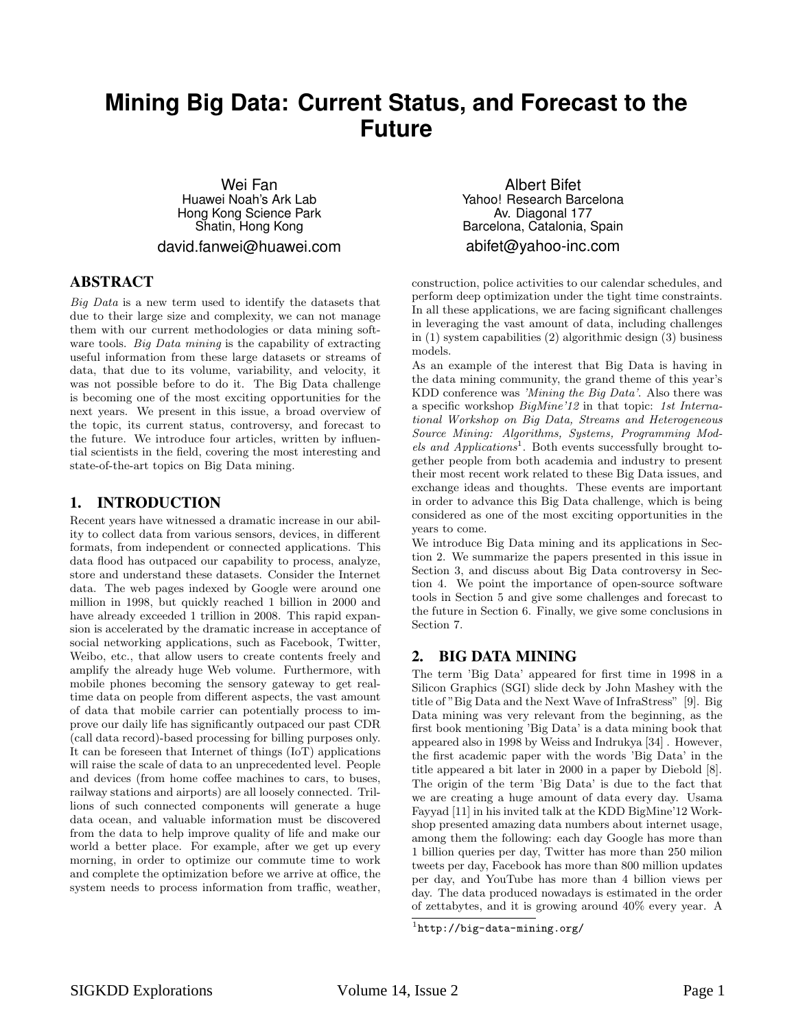# **Mining Big Data: Current Status, and Forecast to the Future**

Wei Fan Huawei Noah's Ark Lab Hong Kong Science Park Shatin, Hong Kong david.fanwei@huawei.com

#### ABSTRACT

Big Data is a new term used to identify the datasets that due to their large size and complexity, we can not manage them with our current methodologies or data mining software tools. *Big Data mining* is the capability of extracting useful information from these large datasets or streams of data, that due to its volume, variability, and velocity, it was not possible before to do it. The Big Data challenge is becoming one of the most exciting opportunities for the next years. We present in this issue, a broad overview of the topic, its current status, controversy, and forecast to the future. We introduce four articles, written by influential scientists in the field, covering the most interesting and state-of-the-art topics on Big Data mining.

#### 1. INTRODUCTION

Recent years have witnessed a dramatic increase in our ability to collect data from various sensors, devices, in different formats, from independent or connected applications. This data flood has outpaced our capability to process, analyze, store and understand these datasets. Consider the Internet data. The web pages indexed by Google were around one million in 1998, but quickly reached 1 billion in 2000 and have already exceeded 1 trillion in 2008. This rapid expansion is accelerated by the dramatic increase in acceptance of social networking applications, such as Facebook, Twitter, Weibo, etc., that allow users to create contents freely and amplify the already huge Web volume. Furthermore, with mobile phones becoming the sensory gateway to get realtime data on people from different aspects, the vast amount of data that mobile carrier can potentially process to improve our daily life has significantly outpaced our past CDR (call data record)-based processing for billing purposes only. It can be foreseen that Internet of things (IoT) applications will raise the scale of data to an unprecedented level. People and devices (from home coffee machines to cars, to buses, railway stations and airports) are all loosely connected. Trillions of such connected components will generate a huge data ocean, and valuable information must be discovered from the data to help improve quality of life and make our world a better place. For example, after we get up every morning, in order to optimize our commute time to work and complete the optimization before we arrive at office, the system needs to process information from traffic, weather,

Albert Bifet Yahoo! Research Barcelona Av. Diagonal 177 Barcelona, Catalonia, Spain abifet@yahoo-inc.com

construction, police activities to our calendar schedules, and perform deep optimization under the tight time constraints. In all these applications, we are facing significant challenges in leveraging the vast amount of data, including challenges in (1) system capabilities (2) algorithmic design (3) business models.

As an example of the interest that Big Data is having in the data mining community, the grand theme of this year's KDD conference was 'Mining the Big Data'. Also there was a specific workshop BigMine'12 in that topic: 1st International Workshop on Big Data, Streams and Heterogeneous Source Mining: Algorithms, Systems, Programming Models and Applications<sup>1</sup>. Both events successfully brought together people from both academia and industry to present their most recent work related to these Big Data issues, and exchange ideas and thoughts. These events are important in order to advance this Big Data challenge, which is being considered as one of the most exciting opportunities in the years to come.

We introduce Big Data mining and its applications in Section 2. We summarize the papers presented in this issue in Section 3, and discuss about Big Data controversy in Section 4. We point the importance of open-source software tools in Section 5 and give some challenges and forecast to the future in Section 6. Finally, we give some conclusions in Section 7.

### 2. BIG DATA MINING

The term 'Big Data' appeared for first time in 1998 in a Silicon Graphics (SGI) slide deck by John Mashey with the title of "Big Data and the Next Wave of InfraStress" [9]. Big Data mining was very relevant from the beginning, as the first book mentioning 'Big Data' is a data mining book that appeared also in 1998 by Weiss and Indrukya [34] . However, the first academic paper with the words 'Big Data' in the title appeared a bit later in 2000 in a paper by Diebold [8]. The origin of the term 'Big Data' is due to the fact that we are creating a huge amount of data every day. Usama Fayyad [11] in his invited talk at the KDD BigMine'12 Workshop presented amazing data numbers about internet usage, among them the following: each day Google has more than 1 billion queries per day, Twitter has more than 250 milion tweets per day, Facebook has more than 800 million updates per day, and YouTube has more than 4 billion views per day. The data produced nowadays is estimated in the order of zettabytes, and it is growing around 40% every year. A

<sup>1</sup> http://big-data-mining.org/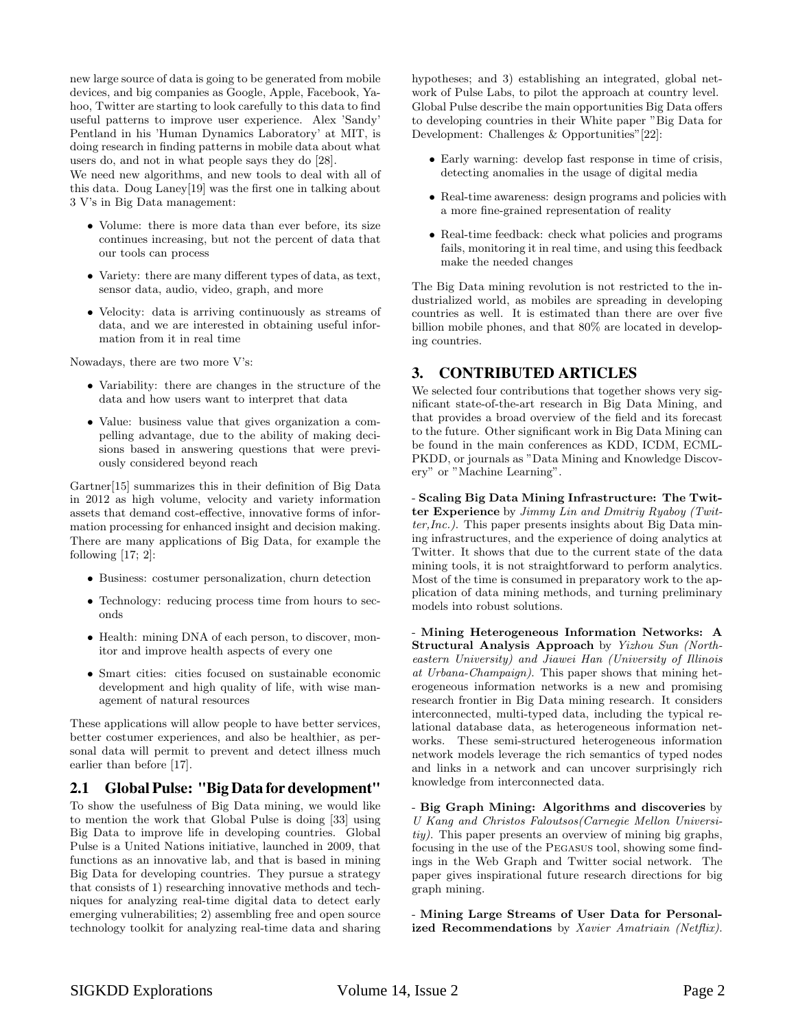new large source of data is going to be generated from mobile devices, and big companies as Google, Apple, Facebook, Yahoo, Twitter are starting to look carefully to this data to find useful patterns to improve user experience. Alex 'Sandy' Pentland in his 'Human Dynamics Laboratory' at MIT, is doing research in finding patterns in mobile data about what users do, and not in what people says they do [28].

We need new algorithms, and new tools to deal with all of this data. Doug Laney[19] was the first one in talking about 3 V's in Big Data management:

- Volume: there is more data than ever before, its size continues increasing, but not the percent of data that our tools can process
- Variety: there are many different types of data, as text, sensor data, audio, video, graph, and more
- Velocity: data is arriving continuously as streams of data, and we are interested in obtaining useful information from it in real time

Nowadays, there are two more V's:

- Variability: there are changes in the structure of the data and how users want to interpret that data
- Value: business value that gives organization a compelling advantage, due to the ability of making decisions based in answering questions that were previously considered beyond reach

Gartner[15] summarizes this in their definition of Big Data in 2012 as high volume, velocity and variety information assets that demand cost-effective, innovative forms of information processing for enhanced insight and decision making. There are many applications of Big Data, for example the following [17; 2]:

- Business: costumer personalization, churn detection
- Technology: reducing process time from hours to seconds
- Health: mining DNA of each person, to discover, monitor and improve health aspects of every one
- Smart cities: cities focused on sustainable economic development and high quality of life, with wise management of natural resources

These applications will allow people to have better services, better costumer experiences, and also be healthier, as personal data will permit to prevent and detect illness much earlier than before [17].

### 2.1 Global Pulse: "Big Data for development"

To show the usefulness of Big Data mining, we would like to mention the work that Global Pulse is doing [33] using Big Data to improve life in developing countries. Global Pulse is a United Nations initiative, launched in 2009, that functions as an innovative lab, and that is based in mining Big Data for developing countries. They pursue a strategy that consists of 1) researching innovative methods and techniques for analyzing real-time digital data to detect early emerging vulnerabilities; 2) assembling free and open source technology toolkit for analyzing real-time data and sharing hypotheses; and 3) establishing an integrated, global network of Pulse Labs, to pilot the approach at country level. Global Pulse describe the main opportunities Big Data offers to developing countries in their White paper "Big Data for Development: Challenges & Opportunities"[22]:

- Early warning: develop fast response in time of crisis, detecting anomalies in the usage of digital media
- Real-time awareness: design programs and policies with a more fine-grained representation of reality
- Real-time feedback: check what policies and programs fails, monitoring it in real time, and using this feedback make the needed changes

The Big Data mining revolution is not restricted to the industrialized world, as mobiles are spreading in developing countries as well. It is estimated than there are over five billion mobile phones, and that 80% are located in developing countries.

## 3. CONTRIBUTED ARTICLES

We selected four contributions that together shows very significant state-of-the-art research in Big Data Mining, and that provides a broad overview of the field and its forecast to the future. Other significant work in Big Data Mining can be found in the main conferences as KDD, ICDM, ECML-PKDD, or journals as "Data Mining and Knowledge Discovery" or "Machine Learning".

- Scaling Big Data Mining Infrastructure: The Twitter Experience by Jimmy Lin and Dmitriy Ryaboy (Twit $ter, Inc.$ ). This paper presents insights about Big Data mining infrastructures, and the experience of doing analytics at Twitter. It shows that due to the current state of the data mining tools, it is not straightforward to perform analytics. Most of the time is consumed in preparatory work to the application of data mining methods, and turning preliminary models into robust solutions.

- Mining Heterogeneous Information Networks: A Structural Analysis Approach by Yizhou Sun (Northeastern University) and Jiawei Han (University of Illinois at Urbana-Champaign). This paper shows that mining heterogeneous information networks is a new and promising research frontier in Big Data mining research. It considers interconnected, multi-typed data, including the typical relational database data, as heterogeneous information networks. These semi-structured heterogeneous information network models leverage the rich semantics of typed nodes and links in a network and can uncover surprisingly rich knowledge from interconnected data.

- Big Graph Mining: Algorithms and discoveries by U Kang and Christos Faloutsos(Carnegie Mellon Universitiy). This paper presents an overview of mining big graphs, focusing in the use of the Pegasus tool, showing some findings in the Web Graph and Twitter social network. The paper gives inspirational future research directions for big graph mining.

- Mining Large Streams of User Data for Personalized Recommendations by Xavier Amatriain (Netflix).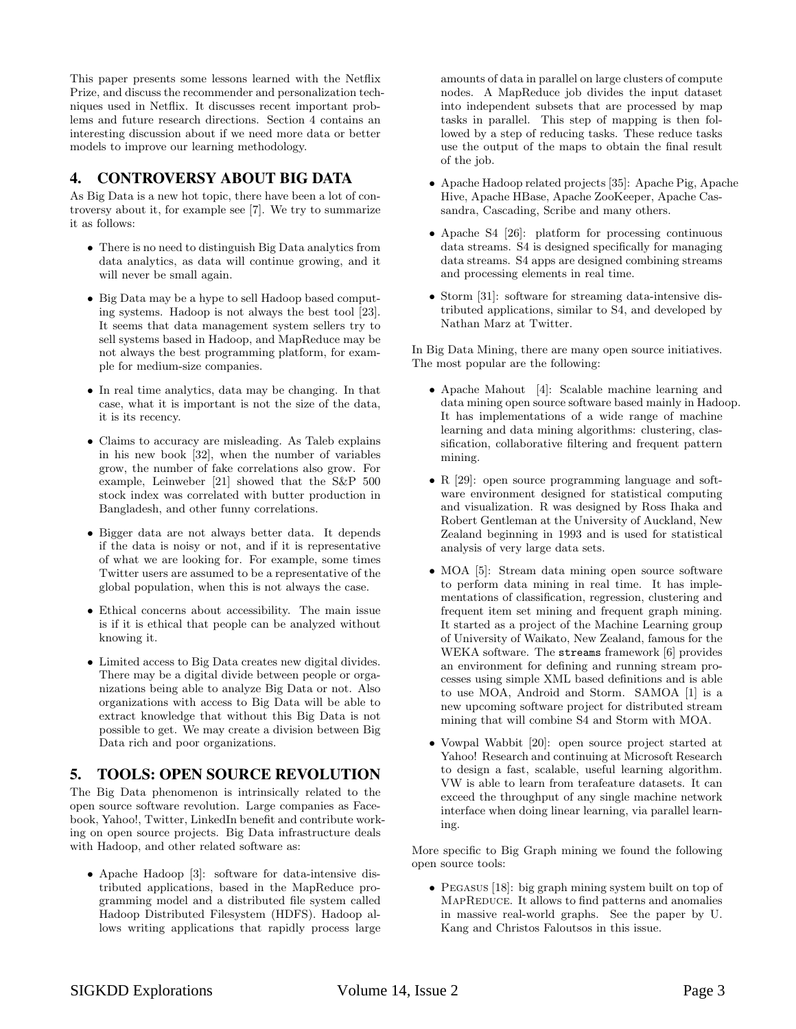This paper presents some lessons learned with the Netflix Prize, and discuss the recommender and personalization techniques used in Netflix. It discusses recent important problems and future research directions. Section 4 contains an interesting discussion about if we need more data or better models to improve our learning methodology.

## 4. CONTROVERSY ABOUT BIG DATA

As Big Data is a new hot topic, there have been a lot of controversy about it, for example see [7]. We try to summarize it as follows:

- There is no need to distinguish Big Data analytics from data analytics, as data will continue growing, and it will never be small again.
- Big Data may be a hype to sell Hadoop based computing systems. Hadoop is not always the best tool [23]. It seems that data management system sellers try to sell systems based in Hadoop, and MapReduce may be not always the best programming platform, for example for medium-size companies.
- In real time analytics, data may be changing. In that case, what it is important is not the size of the data, it is its recency.
- Claims to accuracy are misleading. As Taleb explains in his new book [32], when the number of variables grow, the number of fake correlations also grow. For example, Leinweber [21] showed that the S&P 500 stock index was correlated with butter production in Bangladesh, and other funny correlations.
- Bigger data are not always better data. It depends if the data is noisy or not, and if it is representative of what we are looking for. For example, some times Twitter users are assumed to be a representative of the global population, when this is not always the case.
- Ethical concerns about accessibility. The main issue is if it is ethical that people can be analyzed without knowing it.
- Limited access to Big Data creates new digital divides. There may be a digital divide between people or organizations being able to analyze Big Data or not. Also organizations with access to Big Data will be able to extract knowledge that without this Big Data is not possible to get. We may create a division between Big Data rich and poor organizations.

## 5. TOOLS: OPEN SOURCE REVOLUTION

The Big Data phenomenon is intrinsically related to the open source software revolution. Large companies as Facebook, Yahoo!, Twitter, LinkedIn benefit and contribute working on open source projects. Big Data infrastructure deals with Hadoop, and other related software as:

• Apache Hadoop [3]: software for data-intensive distributed applications, based in the MapReduce programming model and a distributed file system called Hadoop Distributed Filesystem (HDFS). Hadoop allows writing applications that rapidly process large amounts of data in parallel on large clusters of compute nodes. A MapReduce job divides the input dataset into independent subsets that are processed by map tasks in parallel. This step of mapping is then followed by a step of reducing tasks. These reduce tasks use the output of the maps to obtain the final result of the job.

- Apache Hadoop related projects [35]: Apache Pig, Apache Hive, Apache HBase, Apache ZooKeeper, Apache Cassandra, Cascading, Scribe and many others.
- Apache S4 [26]: platform for processing continuous data streams. S4 is designed specifically for managing data streams. S4 apps are designed combining streams and processing elements in real time.
- Storm [31]: software for streaming data-intensive distributed applications, similar to S4, and developed by Nathan Marz at Twitter.

In Big Data Mining, there are many open source initiatives. The most popular are the following:

- Apache Mahout [4]: Scalable machine learning and data mining open source software based mainly in Hadoop. It has implementations of a wide range of machine learning and data mining algorithms: clustering, classification, collaborative filtering and frequent pattern mining.
- R [29]: open source programming language and software environment designed for statistical computing and visualization. R was designed by Ross Ihaka and Robert Gentleman at the University of Auckland, New Zealand beginning in 1993 and is used for statistical analysis of very large data sets.
- MOA [5]: Stream data mining open source software to perform data mining in real time. It has implementations of classification, regression, clustering and frequent item set mining and frequent graph mining. It started as a project of the Machine Learning group of University of Waikato, New Zealand, famous for the WEKA software. The streams framework [6] provides an environment for defining and running stream processes using simple XML based definitions and is able to use MOA, Android and Storm. SAMOA [1] is a new upcoming software project for distributed stream mining that will combine S4 and Storm with MOA.
- Vowpal Wabbit [20]: open source project started at Yahoo! Research and continuing at Microsoft Research to design a fast, scalable, useful learning algorithm. VW is able to learn from terafeature datasets. It can exceed the throughput of any single machine network interface when doing linear learning, via parallel learning.

More specific to Big Graph mining we found the following open source tools:

• PEGASUS [18]: big graph mining system built on top of MAPREDUCE. It allows to find patterns and anomalies in massive real-world graphs. See the paper by U. Kang and Christos Faloutsos in this issue.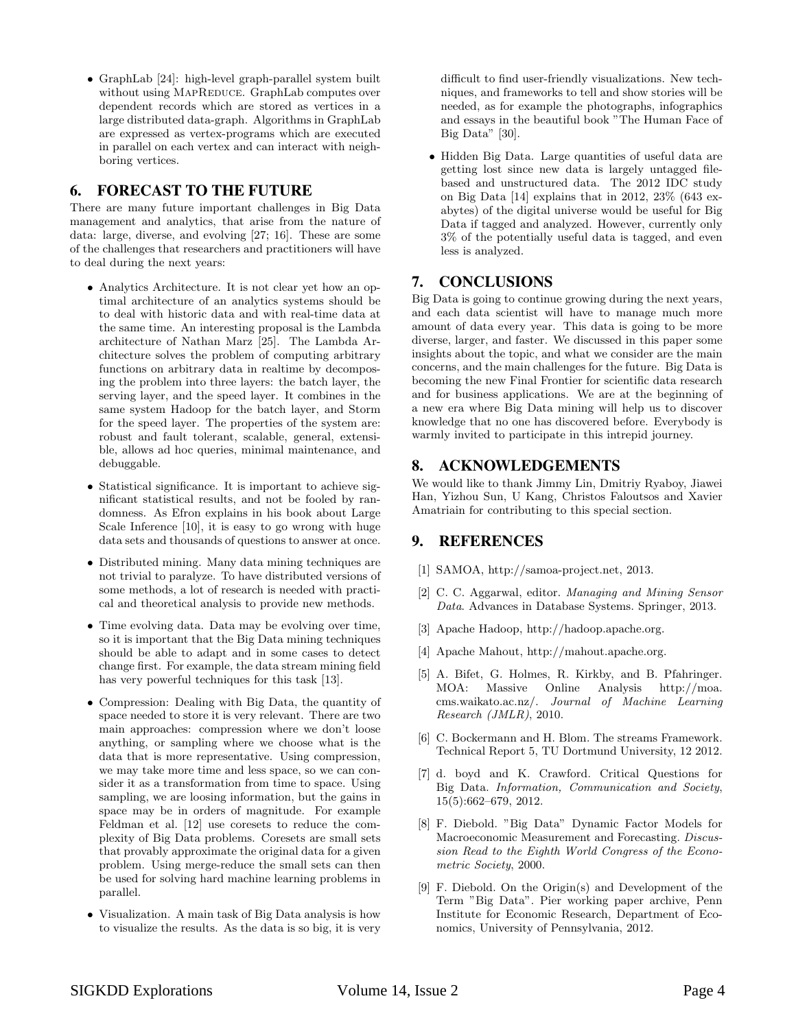• GraphLab [24]: high-level graph-parallel system built without using MAPREDUCE. GraphLab computes over dependent records which are stored as vertices in a large distributed data-graph. Algorithms in GraphLab are expressed as vertex-programs which are executed in parallel on each vertex and can interact with neighboring vertices.

# 6. FORECAST TO THE FUTURE

There are many future important challenges in Big Data management and analytics, that arise from the nature of data: large, diverse, and evolving [27; 16]. These are some of the challenges that researchers and practitioners will have to deal during the next years:

- Analytics Architecture. It is not clear yet how an optimal architecture of an analytics systems should be to deal with historic data and with real-time data at the same time. An interesting proposal is the Lambda architecture of Nathan Marz [25]. The Lambda Architecture solves the problem of computing arbitrary functions on arbitrary data in realtime by decomposing the problem into three layers: the batch layer, the serving layer, and the speed layer. It combines in the same system Hadoop for the batch layer, and Storm for the speed layer. The properties of the system are: robust and fault tolerant, scalable, general, extensible, allows ad hoc queries, minimal maintenance, and debuggable.
- Statistical significance. It is important to achieve significant statistical results, and not be fooled by randomness. As Efron explains in his book about Large Scale Inference [10], it is easy to go wrong with huge data sets and thousands of questions to answer at once.
- Distributed mining. Many data mining techniques are not trivial to paralyze. To have distributed versions of some methods, a lot of research is needed with practical and theoretical analysis to provide new methods.
- Time evolving data. Data may be evolving over time, so it is important that the Big Data mining techniques should be able to adapt and in some cases to detect change first. For example, the data stream mining field has very powerful techniques for this task [13].
- Compression: Dealing with Big Data, the quantity of space needed to store it is very relevant. There are two main approaches: compression where we don't loose anything, or sampling where we choose what is the data that is more representative. Using compression, we may take more time and less space, so we can consider it as a transformation from time to space. Using sampling, we are loosing information, but the gains in space may be in orders of magnitude. For example Feldman et al. [12] use coresets to reduce the complexity of Big Data problems. Coresets are small sets that provably approximate the original data for a given problem. Using merge-reduce the small sets can then be used for solving hard machine learning problems in parallel.
- Visualization. A main task of Big Data analysis is how to visualize the results. As the data is so big, it is very

difficult to find user-friendly visualizations. New techniques, and frameworks to tell and show stories will be needed, as for example the photographs, infographics and essays in the beautiful book "The Human Face of Big Data" [30].

• Hidden Big Data. Large quantities of useful data are getting lost since new data is largely untagged filebased and unstructured data. The 2012 IDC study on Big Data [14] explains that in 2012, 23% (643 exabytes) of the digital universe would be useful for Big Data if tagged and analyzed. However, currently only 3% of the potentially useful data is tagged, and even less is analyzed.

## 7. CONCLUSIONS

Big Data is going to continue growing during the next years, and each data scientist will have to manage much more amount of data every year. This data is going to be more diverse, larger, and faster. We discussed in this paper some insights about the topic, and what we consider are the main concerns, and the main challenges for the future. Big Data is becoming the new Final Frontier for scientific data research and for business applications. We are at the beginning of a new era where Big Data mining will help us to discover knowledge that no one has discovered before. Everybody is warmly invited to participate in this intrepid journey.

## 8. ACKNOWLEDGEMENTS

We would like to thank Jimmy Lin, Dmitriy Ryaboy, Jiawei Han, Yizhou Sun, U Kang, Christos Faloutsos and Xavier Amatriain for contributing to this special section.

## 9. REFERENCES

- [1] SAMOA, http://samoa-project.net, 2013.
- [2] C. C. Aggarwal, editor. Managing and Mining Sensor Data. Advances in Database Systems. Springer, 2013.
- [3] Apache Hadoop, http://hadoop.apache.org.
- [4] Apache Mahout, http://mahout.apache.org.
- [5] A. Bifet, G. Holmes, R. Kirkby, and B. Pfahringer. MOA: Massive Online Analysis http://moa. cms.waikato.ac.nz/. Journal of Machine Learning Research (JMLR), 2010.
- [6] C. Bockermann and H. Blom. The streams Framework. Technical Report 5, TU Dortmund University, 12 2012.
- [7] d. boyd and K. Crawford. Critical Questions for Big Data. Information, Communication and Society, 15(5):662–679, 2012.
- [8] F. Diebold. "Big Data" Dynamic Factor Models for Macroeconomic Measurement and Forecasting. Discussion Read to the Eighth World Congress of the Econometric Society, 2000.
- [9] F. Diebold. On the Origin(s) and Development of the Term "Big Data". Pier working paper archive, Penn Institute for Economic Research, Department of Economics, University of Pennsylvania, 2012.